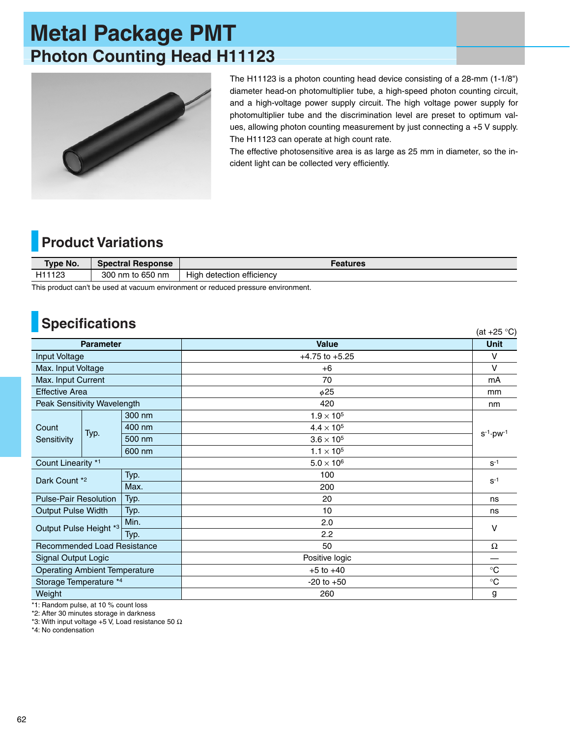## **Metal Package PMT Photon Counting Head H11123**



The H11123 is a photon counting head device consisting of a 28-mm (1-1/8") diameter head-on photomultiplier tube, a high-speed photon counting circuit, and a high-voltage power supply circuit. The high voltage power supply for photomultiplier tube and the discrimination level are preset to optimum values, allowing photon counting measurement by just connecting a +5 V supply. The H11123 can operate at high count rate.

The effective photosensitive area is as large as 25 mm in diameter, so the incident light can be collected very efficiently.

## **Product Variations**

| Type No. | <b>Spectral Response</b> | Features                     |  |  |
|----------|--------------------------|------------------------------|--|--|
| H11123   | 300 nm to 650 nm         | Hiah<br>detection efficiency |  |  |

This product can't be used at vacuum environment or reduced pressure environment.

## **Specifications**

| <b>UPCULIUALIUIS</b><br>(at $+25$ °C)  |      |        |                     |                            |  |  |
|----------------------------------------|------|--------|---------------------|----------------------------|--|--|
| <b>Parameter</b>                       |      |        | <b>Value</b>        | <b>Unit</b>                |  |  |
| Input Voltage                          |      |        | $+4.75$ to $+5.25$  | V                          |  |  |
| Max. Input Voltage                     |      |        | $+6$                | V                          |  |  |
| Max. Input Current                     |      |        | 70                  | mA                         |  |  |
| <b>Effective Area</b>                  |      |        | $\phi$ 25           | mm                         |  |  |
| Peak Sensitivity Wavelength            |      |        | 420                 | nm                         |  |  |
| Count<br>Sensitivity                   | Typ. | 300 nm | $1.9 \times 10^{5}$ | $s^{-1}$ ·pw <sup>-1</sup> |  |  |
|                                        |      | 400 nm | $4.4 \times 10^{5}$ |                            |  |  |
|                                        |      | 500 nm | $3.6 \times 10^5$   |                            |  |  |
|                                        |      | 600 nm | $1.1 \times 10^{5}$ |                            |  |  |
| Count Linearity *1                     |      |        | $5.0 \times 10^6$   | $S^{-1}$                   |  |  |
| Typ.<br>Dark Count *2<br>Max.          |      |        | 100                 | $S^{-1}$                   |  |  |
|                                        |      |        | 200                 |                            |  |  |
| <b>Pulse-Pair Resolution</b>           |      | Typ.   | 20                  | ns                         |  |  |
| <b>Output Pulse Width</b>              |      | Typ.   | 10                  | ns                         |  |  |
| Min.<br>Output Pulse Height *3<br>Typ. |      |        | 2.0                 | $\vee$                     |  |  |
|                                        |      |        | 2.2                 |                            |  |  |
| Recommended Load Resistance            |      |        | 50                  | Ω                          |  |  |
| Signal Output Logic                    |      |        | Positive logic      |                            |  |  |
| <b>Operating Ambient Temperature</b>   |      |        | $+5$ to $+40$       | $^{\circ}C$                |  |  |
| Storage Temperature *4                 |      |        | $-20$ to $+50$      | $^{\circ}C$                |  |  |
| Weight                                 |      |        | 260                 | g                          |  |  |

\*1: Random pulse, at 10 % count loss

\*2: After 30 minutes storage in darkness

\*3: With input voltage +5 V, Load resistance 50  $\Omega$ 

\*4: No condensation